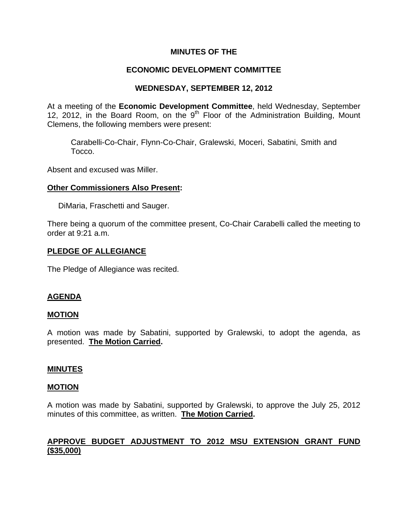## **MINUTES OF THE**

# **ECONOMIC DEVELOPMENT COMMITTEE**

## **WEDNESDAY, SEPTEMBER 12, 2012**

At a meeting of the **Economic Development Committee**, held Wednesday, September 12, 2012, in the Board Room, on the  $9<sup>th</sup>$  Floor of the Administration Building, Mount Clemens, the following members were present:

Carabelli-Co-Chair, Flynn-Co-Chair, Gralewski, Moceri, Sabatini, Smith and Tocco.

Absent and excused was Miller.

### **Other Commissioners Also Present:**

DiMaria, Fraschetti and Sauger.

There being a quorum of the committee present, Co-Chair Carabelli called the meeting to order at 9:21 a.m.

### **PLEDGE OF ALLEGIANCE**

The Pledge of Allegiance was recited.

## **AGENDA**

### **MOTION**

A motion was made by Sabatini, supported by Gralewski, to adopt the agenda, as presented. **The Motion Carried.** 

### **MINUTES**

### **MOTION**

A motion was made by Sabatini, supported by Gralewski, to approve the July 25, 2012 minutes of this committee, as written. **The Motion Carried.** 

# **APPROVE BUDGET ADJUSTMENT TO 2012 MSU EXTENSION GRANT FUND (\$35,000)**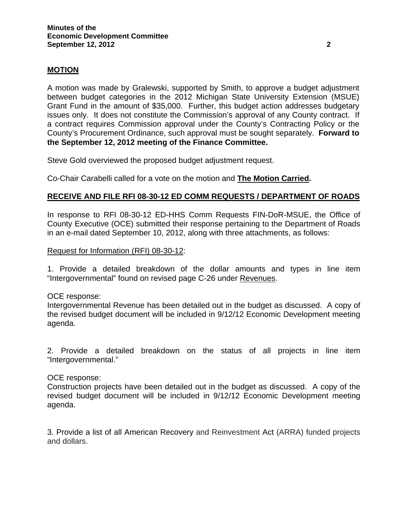### **MOTION**

A motion was made by Gralewski, supported by Smith, to approve a budget adjustment between budget categories in the 2012 Michigan State University Extension (MSUE) Grant Fund in the amount of \$35,000. Further, this budget action addresses budgetary issues only. It does not constitute the Commission's approval of any County contract. If a contract requires Commission approval under the County's Contracting Policy or the County's Procurement Ordinance, such approval must be sought separately. **Forward to the September 12, 2012 meeting of the Finance Committee.** 

Steve Gold overviewed the proposed budget adjustment request.

Co-Chair Carabelli called for a vote on the motion and **The Motion Carried.** 

### **RECEIVE AND FILE RFI 08-30-12 ED COMM REQUESTS / DEPARTMENT OF ROADS**

In response to RFI 08-30-12 ED-HHS Comm Requests FIN-DoR-MSUE, the Office of County Executive (OCE) submitted their response pertaining to the Department of Roads in an e-mail dated September 10, 2012, along with three attachments, as follows:

#### Request for Information (RFI) 08-30-12:

1. Provide a detailed breakdown of the dollar amounts and types in line item "Intergovernmental" found on revised page C-26 under Revenues.

### OCE response:

Intergovernmental Revenue has been detailed out in the budget as discussed. A copy of the revised budget document will be included in 9/12/12 Economic Development meeting agenda.

2. Provide a detailed breakdown on the status of all projects in line item "Intergovernmental."

#### OCE response:

Construction projects have been detailed out in the budget as discussed. A copy of the revised budget document will be included in 9/12/12 Economic Development meeting agenda.

3. Provide a list of all American Recovery and Reinvestment Act (ARRA) funded projects and dollars.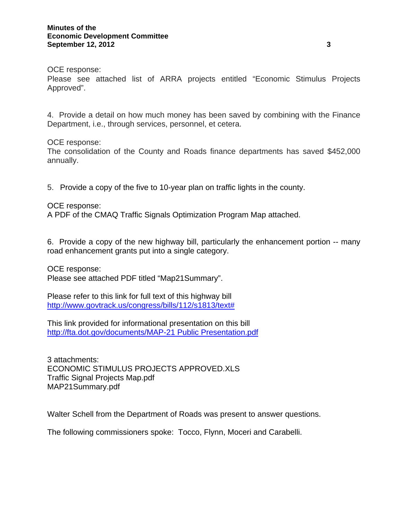OCE response:

Please see attached list of ARRA projects entitled "Economic Stimulus Projects Approved".

4. Provide a detail on how much money has been saved by combining with the Finance Department, i.e., through services, personnel, et cetera.

### OCE response:

The consolidation of the County and Roads finance departments has saved \$452,000 annually.

5. Provide a copy of the five to 10-year plan on traffic lights in the county.

### OCE response:

A PDF of the CMAQ Traffic Signals Optimization Program Map attached.

6. Provide a copy of the new highway bill, particularly the enhancement portion -- many road enhancement grants put into a single category.

OCE response: Please see attached PDF titled "Map21Summary".

Please refer to this link for full text of this highway bill [http://www.govtrack.us/congress/bills/112/s1813/text#](http://www.govtrack.us/congress/bills/112/s1813/text)

This link provided for informational presentation on this bill [http://fta.dot.gov/documents/MAP-21 Public Presentation.pdf](http://fta.dot.gov/documents/MAP-21%20Public%20Presentation.pdf)

3 attachments: ECONOMIC STIMULUS PROJECTS APPROVED.XLS Traffic Signal Projects Map.pdf MAP21Summary.pdf

Walter Schell from the Department of Roads was present to answer questions.

The following commissioners spoke: Tocco, Flynn, Moceri and Carabelli.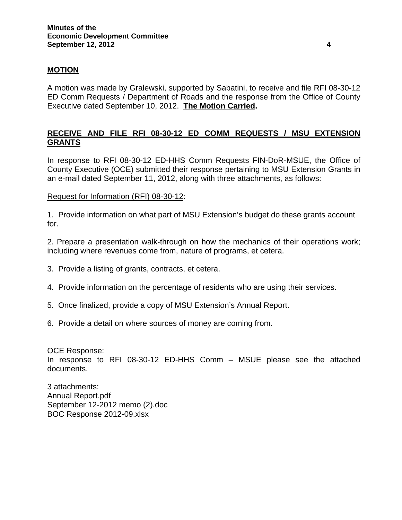### **MOTION**

A motion was made by Gralewski, supported by Sabatini, to receive and file RFI 08-30-12 ED Comm Requests / Department of Roads and the response from the Office of County Executive dated September 10, 2012. **The Motion Carried.** 

# **RECEIVE AND FILE RFI 08-30-12 ED COMM REQUESTS / MSU EXTENSION GRANTS**

In response to RFI 08-30-12 ED-HHS Comm Requests FIN-DoR-MSUE, the Office of County Executive (OCE) submitted their response pertaining to MSU Extension Grants in an e-mail dated September 11, 2012, along with three attachments, as follows:

Request for Information (RFI) 08-30-12:

1. Provide information on what part of MSU Extension's budget do these grants account for.

2. Prepare a presentation walk-through on how the mechanics of their operations work; including where revenues come from, nature of programs, et cetera.

- 3. Provide a listing of grants, contracts, et cetera.
- 4. Provide information on the percentage of residents who are using their services.
- 5. Once finalized, provide a copy of MSU Extension's Annual Report.
- 6. Provide a detail on where sources of money are coming from.

OCE Response: In response to RFI 08-30-12 ED-HHS Comm – MSUE please see the attached documents.

3 attachments: Annual Report.pdf September 12-2012 memo (2).doc BOC Response 2012-09.xlsx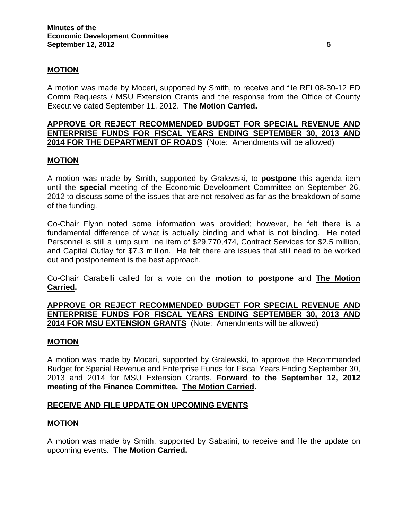### **MOTION**

A motion was made by Moceri, supported by Smith, to receive and file RFI 08-30-12 ED Comm Requests / MSU Extension Grants and the response from the Office of County Executive dated September 11, 2012. **The Motion Carried.** 

### **APPROVE OR REJECT RECOMMENDED BUDGET FOR SPECIAL REVENUE AND ENTERPRISE FUNDS FOR FISCAL YEARS ENDING SEPTEMBER 30, 2013 AND 2014 FOR THE DEPARTMENT OF ROADS** (Note: Amendments will be allowed)

### **MOTION**

A motion was made by Smith, supported by Gralewski, to **postpone** this agenda item until the **special** meeting of the Economic Development Committee on September 26, 2012 to discuss some of the issues that are not resolved as far as the breakdown of some of the funding.

Co-Chair Flynn noted some information was provided; however, he felt there is a fundamental difference of what is actually binding and what is not binding. He noted Personnel is still a lump sum line item of \$29,770,474, Contract Services for \$2.5 million, and Capital Outlay for \$7.3 million. He felt there are issues that still need to be worked out and postponement is the best approach.

Co-Chair Carabelli called for a vote on the **motion to postpone** and **The Motion Carried.** 

**APPROVE OR REJECT RECOMMENDED BUDGET FOR SPECIAL REVENUE AND ENTERPRISE FUNDS FOR FISCAL YEARS ENDING SEPTEMBER 30, 2013 AND 2014 FOR MSU EXTENSION GRANTS** (Note: Amendments will be allowed)

### **MOTION**

A motion was made by Moceri, supported by Gralewski, to approve the Recommended Budget for Special Revenue and Enterprise Funds for Fiscal Years Ending September 30, 2013 and 2014 for MSU Extension Grants. **Forward to the September 12, 2012 meeting of the Finance Committee. The Motion Carried.** 

### **RECEIVE AND FILE UPDATE ON UPCOMING EVENTS**

### **MOTION**

A motion was made by Smith, supported by Sabatini, to receive and file the update on upcoming events. **The Motion Carried.**